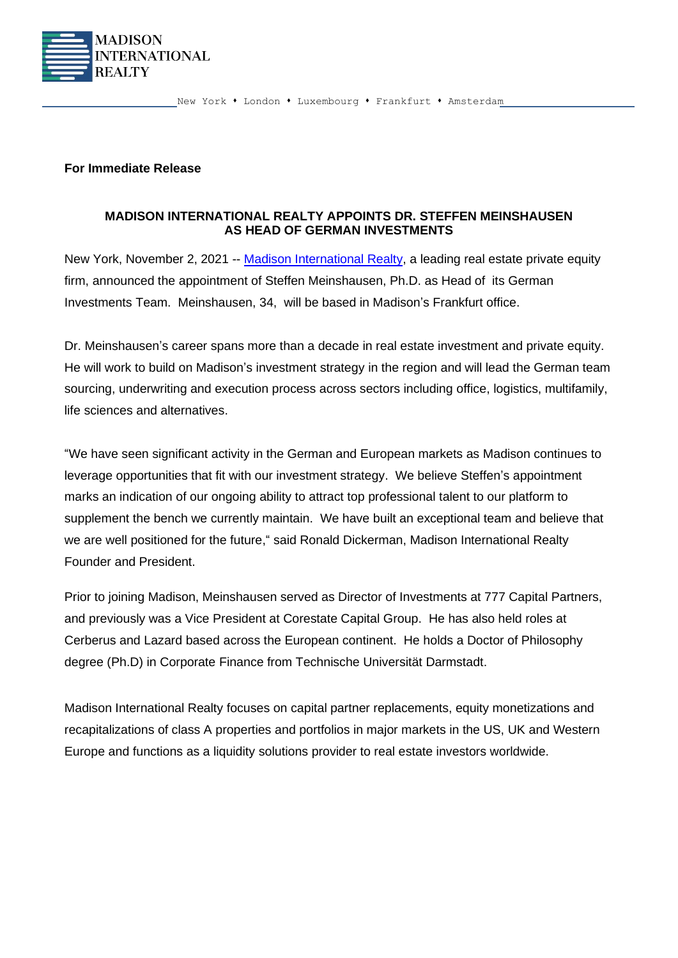

New York • London • Luxembourg • Frankfurt • Amsterdam

## **For Immediate Release**

## **MADISON INTERNATIONAL REALTY APPOINTS DR. STEFFEN MEINSHAUSEN AS HEAD OF GERMAN INVESTMENTS**

New York, November 2, 2021 -- [Madison International](http://www.madisonint.com/) Realty, a leading real estate private equity firm, announced the appointment of Steffen Meinshausen, Ph.D. as Head of its German Investments Team. Meinshausen, 34, will be based in Madison's Frankfurt office.

Dr. Meinshausen's career spans more than a decade in real estate investment and private equity. He will work to build on Madison's investment strategy in the region and will lead the German team sourcing, underwriting and execution process across sectors including office, logistics, multifamily, life sciences and alternatives.

"We have seen significant activity in the German and European markets as Madison continues to leverage opportunities that fit with our investment strategy. We believe Steffen's appointment marks an indication of our ongoing ability to attract top professional talent to our platform to supplement the bench we currently maintain. We have built an exceptional team and believe that we are well positioned for the future," said Ronald Dickerman, Madison International Realty Founder and President.

Prior to joining Madison, Meinshausen served as Director of Investments at 777 Capital Partners, and previously was a Vice President at Corestate Capital Group. He has also held roles at Cerberus and Lazard based across the European continent. He holds a Doctor of Philosophy degree (Ph.D) in Corporate Finance from Technische Universität Darmstadt.

Madison International Realty focuses on capital partner replacements, equity monetizations and recapitalizations of class A properties and portfolios in major markets in the US, UK and Western Europe and functions as a liquidity solutions provider to real estate investors worldwide.